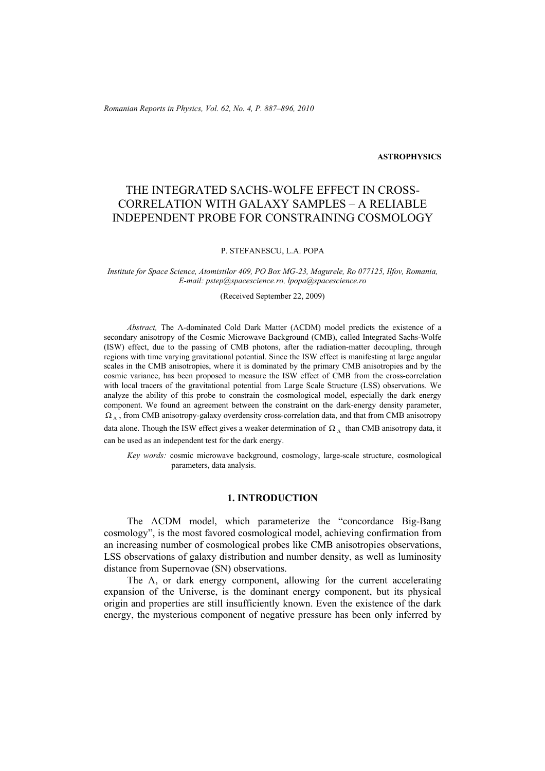*Romanian Reports in Physics, Vol. 62, No. 4, P. 887–896, 2010*

#### **ASTROPHYSICS**

# THE INTEGRATED SACHS-WOLFE EFFECT IN CROSS-CORRELATION WITH GALAXY SAMPLES – A RELIABLE INDEPENDENT PROBE FOR CONSTRAINING COSMOLOGY

#### P. STEFANESCU, L.A. POPA

*Institute for Space Science, Atomistilor 409, PO Box MG-23, Magurele, Ro 077125, Ilfov, Romania, E-mail: pstep@spacescience.ro, lpopa@spacescience.ro* 

(Received September 22, 2009)

*Abstract,* The Λ-dominated Cold Dark Matter (ΛCDM) model predicts the existence of a secondary anisotropy of the Cosmic Microwave Background (CMB), called Integrated Sachs-Wolfe (ISW) effect, due to the passing of CMB photons, after the radiation-matter decoupling, through regions with time varying gravitational potential. Since the ISW effect is manifesting at large angular scales in the CMB anisotropies, where it is dominated by the primary CMB anisotropies and by the cosmic variance, has been proposed to measure the ISW effect of CMB from the cross-correlation with local tracers of the gravitational potential from Large Scale Structure (LSS) observations. We analyze the ability of this probe to constrain the cosmological model, especially the dark energy component. We found an agreement between the constraint on the dark-energy density parameter,  $\Omega_{\Lambda}$ , from CMB anisotropy-galaxy overdensity cross-correlation data, and that from CMB anisotropy data alone. Though the ISW effect gives a weaker determination of  $\Omega_{\Lambda}$  than CMB anisotropy data, it can be used as an independent test for the dark energy.

*Key words:* cosmic microwave background, cosmology, large-scale structure, cosmological parameters, data analysis.

### **1. INTRODUCTION**

The ΛCDM model, which parameterize the "concordance Big-Bang cosmology", is the most favored cosmological model, achieving confirmation from an increasing number of cosmological probes like CMB anisotropies observations, LSS observations of galaxy distribution and number density, as well as luminosity distance from Supernovae (SN) observations.

The  $\Lambda$ , or dark energy component, allowing for the current accelerating expansion of the Universe, is the dominant energy component, but its physical origin and properties are still insufficiently known. Even the existence of the dark energy, the mysterious component of negative pressure has been only inferred by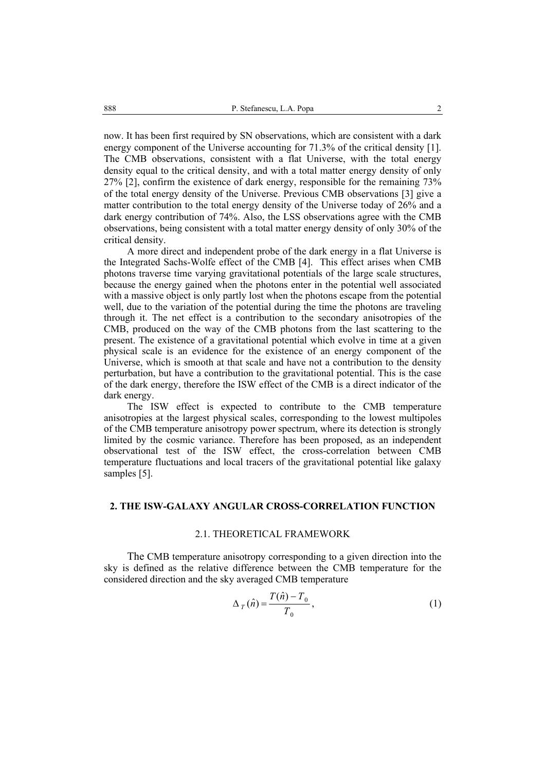now. It has been first required by SN observations, which are consistent with a dark energy component of the Universe accounting for 71.3% of the critical density [1]. The CMB observations, consistent with a flat Universe, with the total energy density equal to the critical density, and with a total matter energy density of only 27% [2], confirm the existence of dark energy, responsible for the remaining 73% of the total energy density of the Universe. Previous CMB observations [3] give a matter contribution to the total energy density of the Universe today of 26% and a dark energy contribution of 74%. Also, the LSS observations agree with the CMB observations, being consistent with a total matter energy density of only 30% of the critical density.

 A more direct and independent probe of the dark energy in a flat Universe is the Integrated Sachs-Wolfe effect of the CMB [4]. This effect arises when CMB photons traverse time varying gravitational potentials of the large scale structures, because the energy gained when the photons enter in the potential well associated with a massive object is only partly lost when the photons escape from the potential well, due to the variation of the potential during the time the photons are traveling through it. The net effect is a contribution to the secondary anisotropies of the CMB, produced on the way of the CMB photons from the last scattering to the present. The existence of a gravitational potential which evolve in time at a given physical scale is an evidence for the existence of an energy component of the Universe, which is smooth at that scale and have not a contribution to the density perturbation, but have a contribution to the gravitational potential. This is the case of the dark energy, therefore the ISW effect of the CMB is a direct indicator of the dark energy.

 The ISW effect is expected to contribute to the CMB temperature anisotropies at the largest physical scales, corresponding to the lowest multipoles of the CMB temperature anisotropy power spectrum, where its detection is strongly limited by the cosmic variance. Therefore has been proposed, as an independent observational test of the ISW effect, the cross-correlation between CMB temperature fluctuations and local tracers of the gravitational potential like galaxy samples [5].

### **2. THE ISW-GALAXY ANGULAR CROSS-CORRELATION FUNCTION**

### 2.1. THEORETICAL FRAMEWORK

 The CMB temperature anisotropy corresponding to a given direction into the sky is defined as the relative difference between the CMB temperature for the considered direction and the sky averaged CMB temperature

$$
\Delta_{T}(\hat{n}) = \frac{T(\hat{n}) - T_{0}}{T_{0}},\tag{1}
$$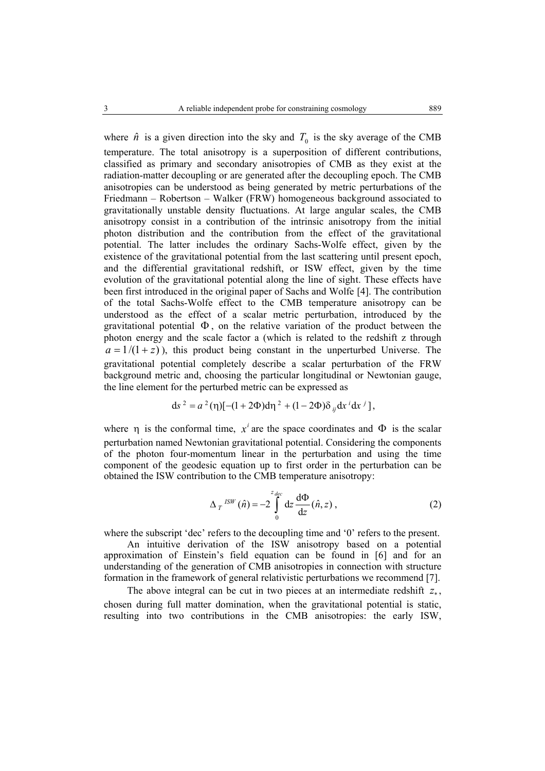where  $\hat{n}$  is a given direction into the sky and  $T_0$  is the sky average of the CMB temperature. The total anisotropy is a superposition of different contributions, classified as primary and secondary anisotropies of CMB as they exist at the radiation-matter decoupling or are generated after the decoupling epoch. The CMB anisotropies can be understood as being generated by metric perturbations of the Friedmann – Robertson – Walker (FRW) homogeneous background associated to gravitationally unstable density fluctuations. At large angular scales, the CMB anisotropy consist in a contribution of the intrinsic anisotropy from the initial photon distribution and the contribution from the effect of the gravitational potential. The latter includes the ordinary Sachs-Wolfe effect, given by the existence of the gravitational potential from the last scattering until present epoch, and the differential gravitational redshift, or ISW effect, given by the time evolution of the gravitational potential along the line of sight. These effects have been first introduced in the original paper of Sachs and Wolfe [4]. The contribution of the total Sachs-Wolfe effect to the CMB temperature anisotropy can be understood as the effect of a scalar metric perturbation, introduced by the gravitational potential  $\Phi$ , on the relative variation of the product between the photon energy and the scale factor a (which is related to the redshift z through  $a = 1/(1+z)$ , this product being constant in the unperturbed Universe. The gravitational potential completely describe a scalar perturbation of the FRW background metric and, choosing the particular longitudinal or Newtonian gauge, the line element for the perturbed metric can be expressed as

$$
ds^{2} = a^{2}(\eta)[-(1+2\Phi)d\eta^{2} + (1-2\Phi)\delta_{ij}dx^{i}dx^{j}],
$$

where  $\eta$  is the conformal time,  $x^i$  are the space coordinates and  $\Phi$  is the scalar perturbation named Newtonian gravitational potential. Considering the components of the photon four-momentum linear in the perturbation and using the time component of the geodesic equation up to first order in the perturbation can be obtained the ISW contribution to the CMB temperature anisotropy:

$$
\Delta_T^{ISW}(\hat{n}) = -2 \int_0^{z_{dec}} dz \frac{d\Phi}{dz}(\hat{n}, z) , \qquad (2)
$$

where the subscript 'dec' refers to the decoupling time and '0' refers to the present.

 An intuitive derivation of the ISW anisotropy based on a potential approximation of Einstein's field equation can be found in [6] and for an understanding of the generation of CMB anisotropies in connection with structure formation in the framework of general relativistic perturbations we recommend [7].

The above integral can be cut in two pieces at an intermediate redshift  $z_{\ast}$ , chosen during full matter domination, when the gravitational potential is static, resulting into two contributions in the CMB anisotropies: the early ISW,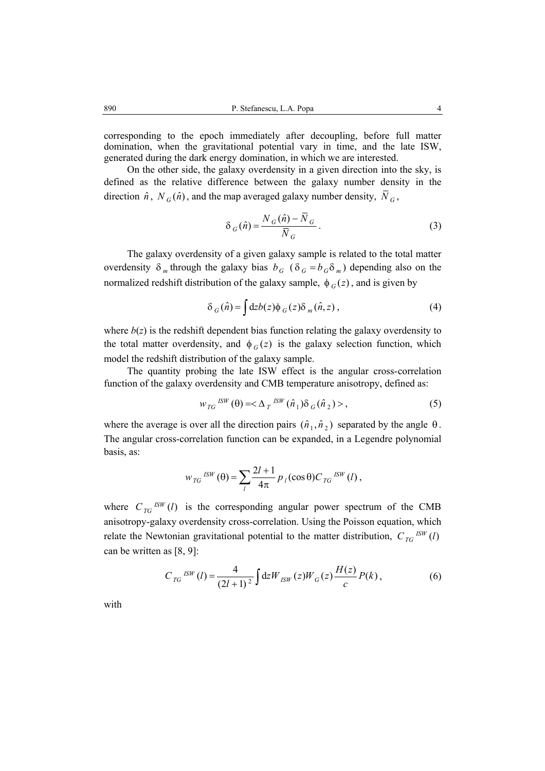corresponding to the epoch immediately after decoupling, before full matter domination, when the gravitational potential vary in time, and the late ISW, generated during the dark energy domination, in which we are interested.

 On the other side, the galaxy overdensity in a given direction into the sky, is defined as the relative difference between the galaxy number density in the direction  $\hat{n}$ ,  $N_G(\hat{n})$ , and the map averaged galaxy number density,  $\overline{N}_G$ ,

$$
\delta_G(\hat{n}) = \frac{N_G(\hat{n}) - \bar{N}_G}{\bar{N}_G}.
$$
\n(3)

The galaxy overdensity of a given galaxy sample is related to the total matter overdensity  $\delta_m$  through the galaxy bias  $b_G$  ( $\delta_G = b_G \delta_m$ ) depending also on the normalized redshift distribution of the galaxy sample,  $\phi_G(z)$ , and is given by

$$
\delta_G(\hat{n}) = \int dz b(z) \phi_G(z) \delta_m(\hat{n}, z) , \qquad (4)
$$

where  $b(z)$  is the redshift dependent bias function relating the galaxy overdensity to the total matter overdensity, and  $\phi_G(z)$  is the galaxy selection function, which model the redshift distribution of the galaxy sample.

 The quantity probing the late ISW effect is the angular cross-correlation function of the galaxy overdensity and CMB temperature anisotropy, defined as:

$$
w_{TG}^{ISW}(\theta) = \langle \Delta_T^{ISW}(\hat{n}_1) \delta_G(\hat{n}_2) \rangle, \tag{5}
$$

where the average is over all the direction pairs  $(\hat{n}_1, \hat{n}_2)$  separated by the angle  $\theta$ . The angular cross-correlation function can be expanded, in a Legendre polynomial basis, as:

$$
w_{TG}^{ISW}(\theta) = \sum_{l} \frac{2l+1}{4\pi} p_l(\cos \theta) C_{TG}^{ISW}(l) ,
$$

where  $C_{TC}^{ISW}(l)$  is the corresponding angular power spectrum of the CMB anisotropy-galaxy overdensity cross-correlation. Using the Poisson equation, which relate the Newtonian gravitational potential to the matter distribution,  $C_{TG}^{ISW}(l)$ can be written as [8, 9]:

$$
C_{TG}^{ISW}(l) = \frac{4}{(2l+1)^2} \int dz W_{ISW}(z) W_G(z) \frac{H(z)}{c} P(k) , \qquad (6)
$$

with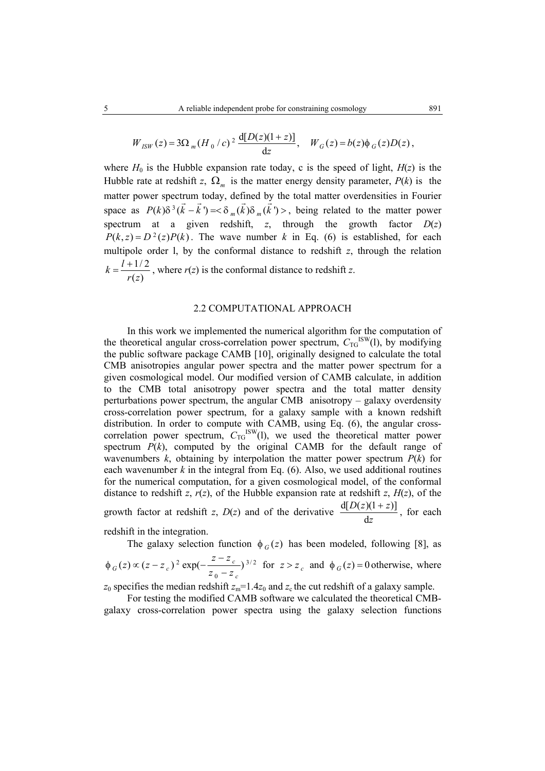$$
W_{ISW}(z) = 3\Omega_m (H_0/c)^2 \frac{d[D(z)(1+z)]}{dz}, \quad W_G(z) = b(z)\phi_G(z)D(z),
$$

where  $H_0$  is the Hubble expansion rate today, c is the speed of light,  $H(z)$  is the Hubble rate at redshift *z*,  $\Omega_m$  is the matter energy density parameter,  $P(k)$  is the matter power spectrum today, defined by the total matter overdensities in Fourier space as  $P(k)\delta^3(\vec{k} - \vec{k}) = \delta_m(\vec{k})\delta_m(\vec{k}')$ , being related to the matter power spectrum at a given redshift,  $z$ , through the growth factor  $D(z)$  $P(k, z) = D^2(z)P(k)$ . The wave number k in Eq. (6) is established, for each multipole order l, by the conformal distance to redshift *z*, through the relation 1/2  $(z)$  $k = \frac{l}{l}$ *r z*  $=\frac{l + 1/2}{l}$ , where  $r(z)$  is the conformal distance to redshift *z*.

#### 2.2 COMPUTATIONAL APPROACH

In this work we implemented the numerical algorithm for the computation of the theoretical angular cross-correlation power spectrum,  $C_{\text{TG}}^{\text{ISW}}(l)$ , by modifying the public software package CAMB [10], originally designed to calculate the total CMB anisotropies angular power spectra and the matter power spectrum for a given cosmological model. Our modified version of CAMB calculate, in addition to the CMB total anisotropy power spectra and the total matter density perturbations power spectrum, the angular CMB anisotropy – galaxy overdensity cross-correlation power spectrum, for a galaxy sample with a known redshift distribution. In order to compute with CAMB, using Eq. (6), the angular crosscorrelation power spectrum,  $C_{\text{TG}}^{\text{ISW}}(1)$ , we used the theoretical matter power spectrum  $P(k)$ , computed by the original CAMB for the default range of wavenumbers  $k$ , obtaining by interpolation the matter power spectrum  $P(k)$  for each wavenumber  $k$  in the integral from Eq.  $(6)$ . Also, we used additional routines for the numerical computation, for a given cosmological model, of the conformal distance to redshift *z*,  $r(z)$ , of the Hubble expansion rate at redshift *z*,  $H(z)$ , of the growth factor at redshift *z*,  $D(z)$  and of the derivative  $\frac{d[D(z)(1+z)]}{dt}$ d  $D(z)(1+z)$ *z*  $\frac{+ z}{z}$ , for each

redshift in the integration.

The galaxy selection function  $\phi_G(z)$  has been modeled, following [8], as

$$
\phi_G(z) \propto (z - z_c)^2 \exp(-\frac{z - z_c}{z_0 - z_c})^{3/2}
$$
 for  $z > z_c$  and  $\phi_G(z) = 0$  otherwise, where

 $z_0$  specifies the median redshift  $z_m$ =1.4 $z_0$  and  $z_c$  the cut redshift of a galaxy sample.

 For testing the modified CAMB software we calculated the theoretical CMBgalaxy cross-correlation power spectra using the galaxy selection functions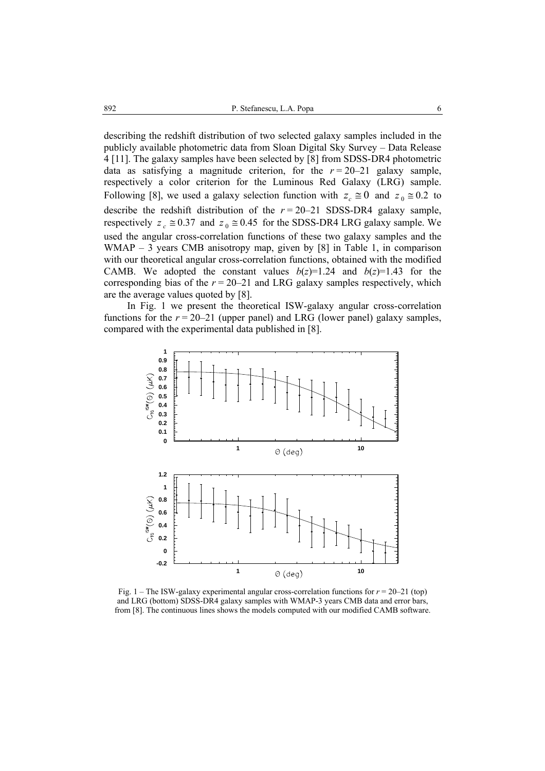describing the redshift distribution of two selected galaxy samples included in the publicly available photometric data from Sloan Digital Sky Survey – Data Release 4 [11]. The galaxy samples have been selected by [8] from SDSS-DR4 photometric data as satisfying a magnitude criterion, for the  $r = 20-21$  galaxy sample, respectively a color criterion for the Luminous Red Galaxy (LRG) sample. Following [8], we used a galaxy selection function with  $z_c \approx 0$  and  $z_0 \approx 0.2$  to describe the redshift distribution of the  $r = 20-21$  SDSS-DR4 galaxy sample, respectively  $z_c \approx 0.37$  and  $z_0 \approx 0.45$  for the SDSS-DR4 LRG galaxy sample. We used the angular cross-correlation functions of these two galaxy samples and the WMAP – 3 years CMB anisotropy map, given by [8] in Table 1, in comparison with our theoretical angular cross-correlation functions, obtained with the modified CAMB. We adopted the constant values  $b(z)=1.24$  and  $b(z)=1.43$  for the corresponding bias of the  $r = 20-21$  and LRG galaxy samples respectively, which are the average values quoted by [8].

 In Fig. 1 we present the theoretical ISW-galaxy angular cross-correlation functions for the  $r = 20-21$  (upper panel) and LRG (lower panel) galaxy samples, compared with the experimental data published in [8].



Fig.  $1 -$ The ISW-galaxy experimental angular cross-correlation functions for  $r = 20-21$  (top) and LRG (bottom) SDSS-DR4 galaxy samples with WMAP-3 years CMB data and error bars, from [8]. The continuous lines shows the models computed with our modified CAMB software.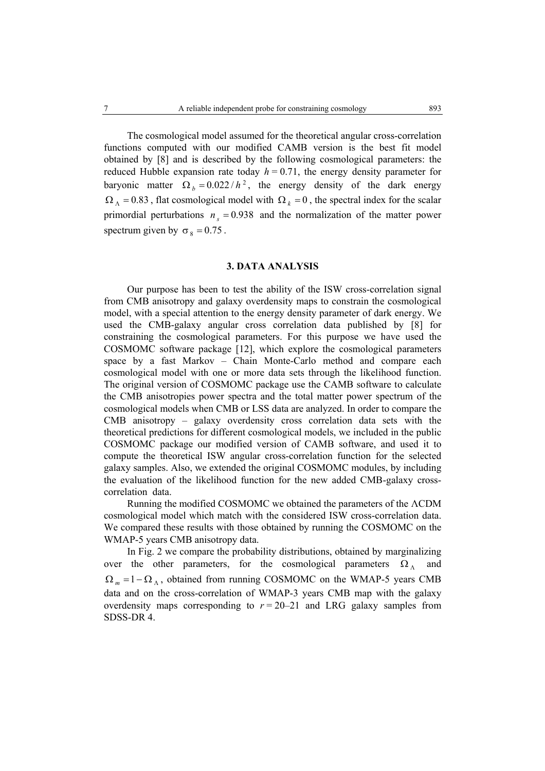The cosmological model assumed for the theoretical angular cross-correlation functions computed with our modified CAMB version is the best fit model obtained by [8] and is described by the following cosmological parameters: the reduced Hubble expansion rate today  $h = 0.71$ , the energy density parameter for baryonic matter  $\Omega_b = 0.022 / h^2$ , the energy density of the dark energy  $\Omega_{\Lambda} = 0.83$ , flat cosmological model with  $\Omega_{k} = 0$ , the spectral index for the scalar primordial perturbations  $n_e = 0.938$  and the normalization of the matter power spectrum given by  $\sigma_8 = 0.75$ .

# **3. DATA ANALYSIS**

Our purpose has been to test the ability of the ISW cross-correlation signal from CMB anisotropy and galaxy overdensity maps to constrain the cosmological model, with a special attention to the energy density parameter of dark energy. We used the CMB-galaxy angular cross correlation data published by [8] for constraining the cosmological parameters. For this purpose we have used the COSMOMC software package [12], which explore the cosmological parameters space by a fast Markov – Chain Monte-Carlo method and compare each cosmological model with one or more data sets through the likelihood function. The original version of COSMOMC package use the CAMB software to calculate the CMB anisotropies power spectra and the total matter power spectrum of the cosmological models when CMB or LSS data are analyzed. In order to compare the CMB anisotropy – galaxy overdensity cross correlation data sets with the theoretical predictions for different cosmological models, we included in the public COSMOMC package our modified version of CAMB software, and used it to compute the theoretical ISW angular cross-correlation function for the selected galaxy samples. Also, we extended the original COSMOMC modules, by including the evaluation of the likelihood function for the new added CMB-galaxy crosscorrelation data.

Running the modified COSMOMC we obtained the parameters of the ΛCDM cosmological model which match with the considered ISW cross-correlation data. We compared these results with those obtained by running the COSMOMC on the WMAP-5 years CMB anisotropy data.

In Fig. 2 we compare the probability distributions, obtained by marginalizing over the other parameters, for the cosmological parameters  $\Omega_{\Lambda}$  and  $\Omega_m = 1 - \Omega_{\Lambda}$ , obtained from running COSMOMC on the WMAP-5 years CMB data and on the cross-correlation of WMAP-3 years CMB map with the galaxy overdensity maps corresponding to  $r = 20-21$  and LRG galaxy samples from SDSS-DR 4.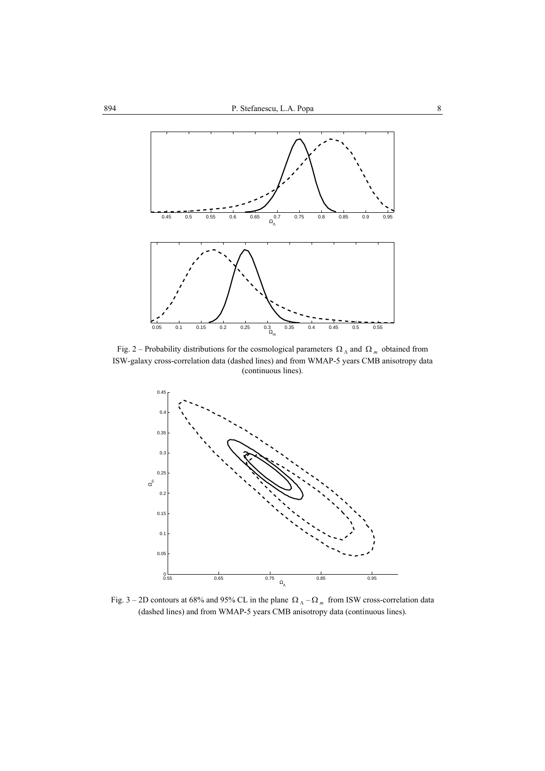

Fig. 2 – Probability distributions for the cosmological parameters  $\Omega_{\Lambda}$  and  $\Omega_{m}$  obtained from ISW-galaxy cross-correlation data (dashed lines) and from WMAP-5 years CMB anisotropy data (continuous lines).



Fig. 3 – 2D contours at 68% and 95% CL in the plane  $\Omega_{\Lambda}$  –  $\Omega_{m}$  from ISW cross-correlation data (dashed lines) and from WMAP-5 years CMB anisotropy data (continuous lines).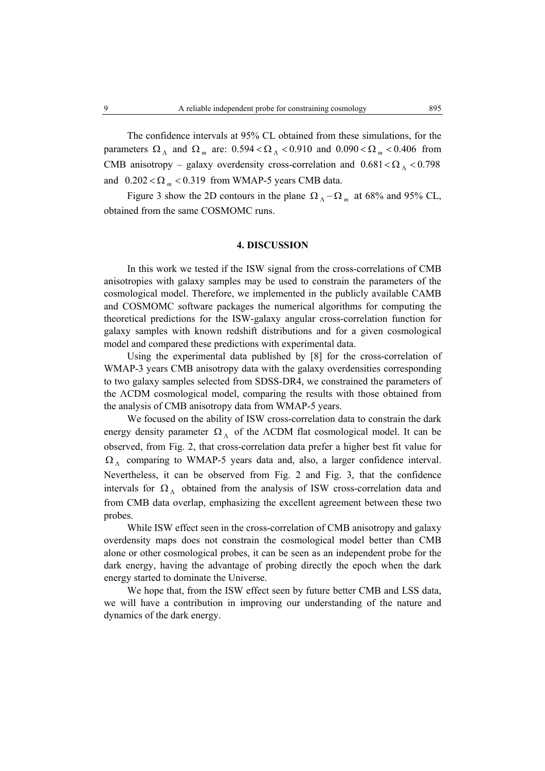The confidence intervals at 95% CL obtained from these simulations, for the parameters  $\Omega_{\Lambda}$  and  $\Omega_{m}$  are:  $0.594 < \Omega_{\Lambda} < 0.910$  and  $0.090 < \Omega_{m} < 0.406$  from CMB anisotropy – galaxy overdensity cross-correlation and  $0.681 < \Omega_{\Lambda} < 0.798$ and  $0.202 < \Omega_m < 0.319$  from WMAP-5 years CMB data.

Figure 3 show the 2D contours in the plane  $\Omega_{\Lambda} - \Omega_{m}$  at 68% and 95% CL, obtained from the same COSMOMC runs.

## **4. DISCUSSION**

In this work we tested if the ISW signal from the cross-correlations of CMB anisotropies with galaxy samples may be used to constrain the parameters of the cosmological model. Therefore, we implemented in the publicly available CAMB and COSMOMC software packages the numerical algorithms for computing the theoretical predictions for the ISW-galaxy angular cross-correlation function for galaxy samples with known redshift distributions and for a given cosmological model and compared these predictions with experimental data.

 Using the experimental data published by [8] for the cross-correlation of WMAP-3 years CMB anisotropy data with the galaxy overdensities corresponding to two galaxy samples selected from SDSS-DR4, we constrained the parameters of the ΛCDM cosmological model, comparing the results with those obtained from the analysis of CMB anisotropy data from WMAP-5 years.

 We focused on the ability of ISW cross-correlation data to constrain the dark energy density parameter  $\Omega_{\Lambda}$  of the  $\Lambda$ CDM flat cosmological model. It can be observed, from Fig. 2, that cross-correlation data prefer a higher best fit value for  $\Omega_{\Lambda}$  comparing to WMAP-5 years data and, also, a larger confidence interval. Nevertheless, it can be observed from Fig. 2 and Fig. 3, that the confidence intervals for  $\Omega_{\Lambda}$  obtained from the analysis of ISW cross-correlation data and from CMB data overlap, emphasizing the excellent agreement between these two probes.

 While ISW effect seen in the cross-correlation of CMB anisotropy and galaxy overdensity maps does not constrain the cosmological model better than CMB alone or other cosmological probes, it can be seen as an independent probe for the dark energy, having the advantage of probing directly the epoch when the dark energy started to dominate the Universe.

 We hope that, from the ISW effect seen by future better CMB and LSS data, we will have a contribution in improving our understanding of the nature and dynamics of the dark energy.